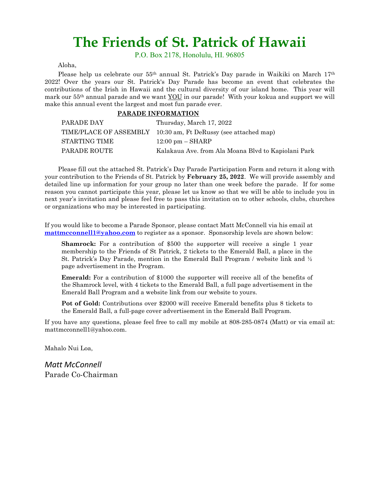## The Friends of St. Patrick of Hawaii

P.O. Box 2178, Honolulu, HI. 96805

Aloha,

Please help us celebrate our 55<sup>th</sup> annual St. Patrick's Day parade in Waikiki on March 17<sup>th</sup> 2022! Over the years our St. Patrick's Day Parade has become an event that celebrates the contributions of the Irish in Hawaii and the cultural diversity of our island home. This year will mark our 55th annual parade and we want YOU in our parade! With your kokua and support we will make this annual event the largest and most fun parade ever.

#### PARADE INFORMATION

| PARADE DAY    | Thursday, March 17, 2022                                       |
|---------------|----------------------------------------------------------------|
|               | TIME/PLACE OF ASSEMBLY 10:30 am, Ft DeRussy (see attached map) |
| STARTING TIME | $12:00 \text{ pm} - \text{SHARP}$                              |
| PARADE ROUTE  | Kalakaua Ave. from Ala Moana Blvd to Kapiolani Park            |

 Please fill out the attached St. Patrick's Day Parade Participation Form and return it along with your contribution to the Friends of St. Patrick by February 25, 2022. We will provide assembly and detailed line up information for your group no later than one week before the parade. If for some reason you cannot participate this year, please let us know so that we will be able to include you in next year's invitation and please feel free to pass this invitation on to other schools, clubs, churches or organizations who may be interested in participating.

If you would like to become a Parade Sponsor, please contact Matt McConnell via his email at mattmcconnell1@yahoo.com to register as a sponsor. Sponsorship levels are shown below:

Shamrock: For a contribution of \$500 the supporter will receive a single 1 year membership to the Friends of St Patrick, 2 tickets to the Emerald Ball, a place in the St. Patrick's Day Parade, mention in the Emerald Ball Program / website link and ½ page advertisement in the Program.

Emerald: For a contribution of \$1000 the supporter will receive all of the benefits of the Shamrock level, with 4 tickets to the Emerald Ball, a full page advertisement in the Emerald Ball Program and a website link from our website to yours.

Pot of Gold: Contributions over \$2000 will receive Emerald benefits plus 8 tickets to the Emerald Ball, a full-page cover advertisement in the Emerald Ball Program.

If you have any questions, please feel free to call my mobile at 808-285-0874 (Matt) or via email at: mattmcconnell1@yahoo.com.

Mahalo Nui Loa,

Matt McConnell Parade Co-Chairman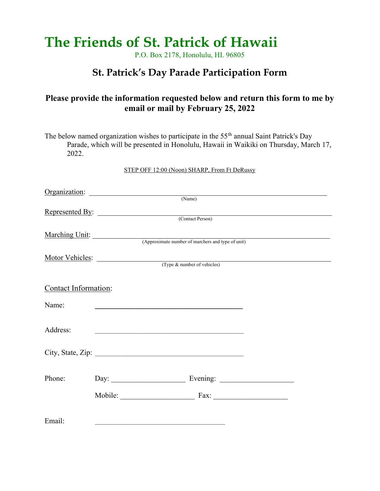# The Friends of St. Patrick of Hawaii

P.O. Box 2178, Honolulu, HI. 96805

## St. Patrick's Day Parade Participation Form

### Please provide the information requested below and return this form to me by email or mail by February 25, 2022

The below named organization wishes to participate in the  $55<sup>th</sup>$  annual Saint Patrick's Day Parade, which will be presented in Honolulu, Hawaii in Waikiki on Thursday, March 17, 2022.

STEP OFF 12:00 (Noon) SHARP, From Ft DeRussy

|                      |  | (Name)                                            |  |
|----------------------|--|---------------------------------------------------|--|
| Represented By:      |  |                                                   |  |
|                      |  | (Contact Person)                                  |  |
| Marching Unit:       |  |                                                   |  |
|                      |  | (Approximate number of marchers and type of unit) |  |
|                      |  |                                                   |  |
|                      |  | Motor Vehicles: (Type & number of vehicles)       |  |
|                      |  |                                                   |  |
| Contact Information: |  |                                                   |  |
| Name:                |  |                                                   |  |
|                      |  |                                                   |  |
| Address:             |  |                                                   |  |
|                      |  |                                                   |  |
|                      |  |                                                   |  |
|                      |  |                                                   |  |
| Phone:               |  |                                                   |  |
|                      |  |                                                   |  |
|                      |  | Mobile: Fax: Fax:                                 |  |
|                      |  |                                                   |  |
| Email:               |  |                                                   |  |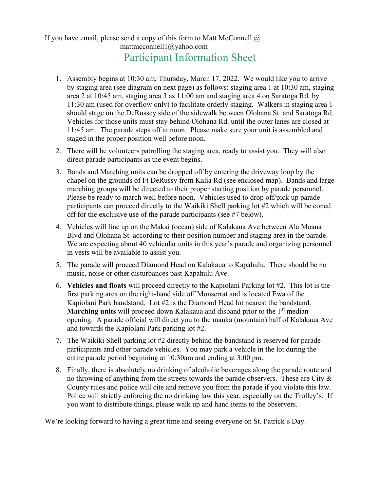### If you have email, please send a copy of this form to Matt McConnell  $\omega$ mattmcconnell1@yahoo.com Participant Information Sheet

- 1. Assembly begins at 10:30 am, Thursday, March 17, 2022. We would like you to arrive by staging area (see diagram on next page) as follows: staging area 1 at 10:30 am, staging area 2 at 10:45 am, staging area 3 as 11:00 am and staging area 4 on Saratoga Rd. by 11:30 am (used for overflow only) to facilitate orderly staging. Walkers in staging area 1 should stage on the DeRussey side of the sidewalk between Olohana St. and Saratoga Rd. Vehicles for those units must stay behind Olohana Rd. until the outer lanes are closed at 11:45 am. The parade steps off at noon. Please make sure your unit is assembled and staged in the proper position well before noon.
- 2. There will be volunteers patrolling the staging area, ready to assist you. They will also direct parade participants as the event begins.
- 3. Bands and Marching units can be dropped off by entering the driveway loop by the chapel on the grounds of Ft DeRussy from Kalia Rd (see enclosed map). Bands and large marching groups will be directed to their proper starting position by parade personnel. Please be ready to march well before noon. Vehicles used to drop off/pick up parade participants can proceed directly to the Waikiki Shell parking lot #2 which will be coned off for the exclusive use of the parade participants (see #7 below).
- 4. Vehicles will line up on the Makai (ocean) side of Kalakaua Ave between Ala Moana Blvd and Olohana St. according to their position number and staging area in the parade. We are expecting about 40 vehicular units in this year's parade and organizing personnel in vests will be available to assist you.
- 5. The parade will proceed Diamond Head on Kalakaua to Kapahulu. There should be no music, noise or other disturbances past Kapahulu Ave.
- 6. Vehicles and floats will proceed directly to the Kapiolani Parking lot #2. This lot is the first parking area on the right-hand side off Monserrat and is located Ewa of the Kapiolani Park bandstand. Lot #2 is the Diamond Head lot nearest the bandstand. **Marching units** will proceed down Kalakaua and disband prior to the  $1<sup>st</sup>$  median opening. A parade official will direct you to the mauka (mountain) half of Kalakaua Ave and towards the Kapiolani Park parking lot #2.
- 7. The Waikiki Shell parking lot #2 directly behind the bandstand is reserved for parade participants and other parade vehicles. You may park a vehicle in the lot during the entire parade period beginning at 10:30am and ending at 3:00 pm.
- 8. Finally, there is absolutely no drinking of alcoholic beverages along the parade route and no throwing of anything from the streets towards the parade observers. These are City & County rules and police will cite and remove you from the parade if you violate this law. Police will strictly enforcing the no drinking law this year, especially on the Trolley's. If you want to distribute things, please walk up and hand items to the observers.

We're looking forward to having a great time and seeing everyone on St. Patrick's Day.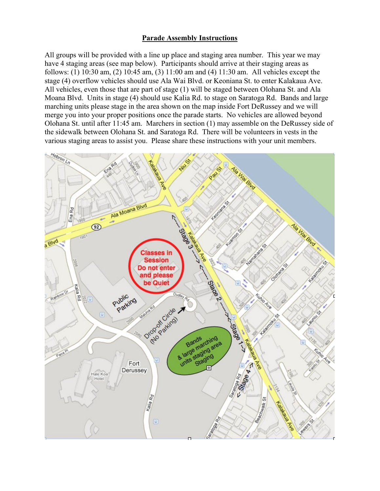#### Parade Assembly Instructions

All groups will be provided with a line up place and staging area number. This year we may have 4 staging areas (see map below). Participants should arrive at their staging areas as follows: (1) 10:30 am, (2) 10:45 am, (3) 11:00 am and (4) 11:30 am. All vehicles except the stage (4) overflow vehicles should use Ala Wai Blvd. or Keoniana St. to enter Kalakaua Ave. All vehicles, even those that are part of stage (1) will be staged between Olohana St. and Ala Moana Blvd. Units in stage (4) should use Kalia Rd. to stage on Saratoga Rd. Bands and large marching units please stage in the area shown on the map inside Fort DeRussey and we will merge you into your proper positions once the parade starts. No vehicles are allowed beyond Olohana St. until after 11:45 am. Marchers in section (1) may assemble on the DeRussey side of the sidewalk between Olohana St. and Saratoga Rd. There will be volunteers in vests in the various staging areas to assist you. Please share these instructions with your unit members.